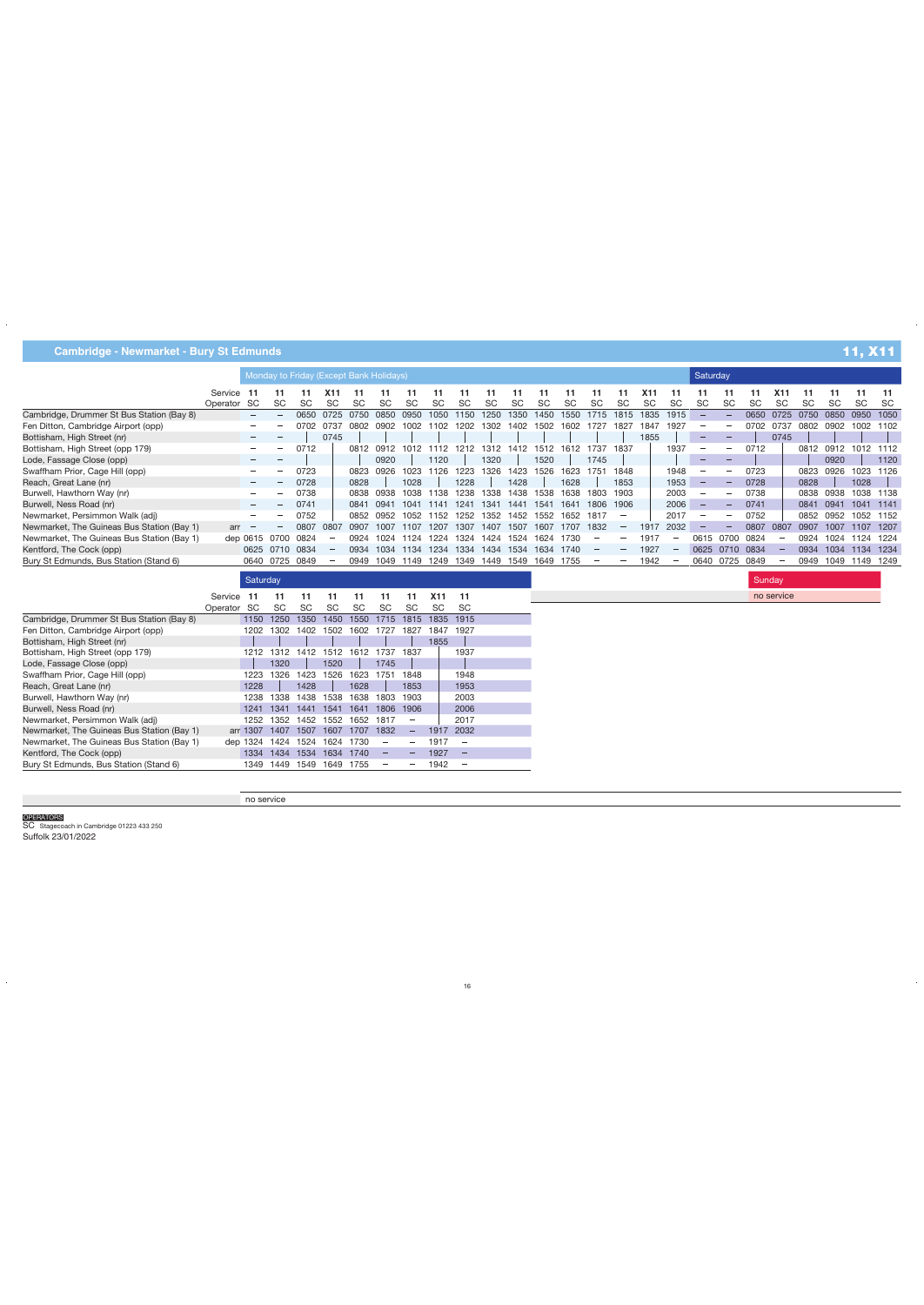|                                            |             | Monday to Friday (Except Bank Holidays) |                 |           |           |           |           |           |           |           |           |            |           |           |           |           | Saturday         |                          |           |           |           |            |           |           |           |           |
|--------------------------------------------|-------------|-----------------------------------------|-----------------|-----------|-----------|-----------|-----------|-----------|-----------|-----------|-----------|------------|-----------|-----------|-----------|-----------|------------------|--------------------------|-----------|-----------|-----------|------------|-----------|-----------|-----------|-----------|
|                                            | Service     | - 11                                    |                 |           | X11       | 11        |           |           |           |           |           |            | 11        |           | -11       |           | X <sub>1</sub> 1 | 11                       | 11        | 11        | -11       | <b>X11</b> | -11       |           | -11       | 11        |
|                                            | Operator SC |                                         | <b>SC</b>       | <b>SC</b> | <b>SC</b> | <b>SC</b> | <b>SC</b> | SC        | <b>SC</b> | <b>SC</b> | <b>SC</b> | SC         | <b>SC</b> | <b>SC</b> | <b>SC</b> | <b>SC</b> | <b>SC</b>        | <b>SC</b>                | <b>SC</b> | <b>SC</b> | <b>SC</b> | <b>SC</b>  | <b>SC</b> | <b>SC</b> | <b>SC</b> | <b>SC</b> |
| Cambridge, Drummer St Bus Station (Bay 8)  |             |                                         |                 | 0650      | 0725      | 0750      | 0850      | 0950      | 1050      | 1150      | 1250      | 1350       | 1450      | 1550      | 1715      | 1815      | 1835             | 1915                     |           |           | 0650      | 0725       | 0750      | 0850      | 0950      | 1050      |
| Fen Ditton, Cambridge Airport (opp)        |             | $\overline{\phantom{a}}$                |                 | 0702      | 0737      | 0802      | 0902      | 1002      | 1102      | 1202      | 1302      | 1402       | 1502      | 1602      | 1727      | 1827      | 1847             | 1927                     |           |           | 0702      | 0737       | 0802      | 0902      | 1002      | 1102      |
| Bottisham, High Street (nr)                |             | $\overline{\phantom{a}}$                |                 |           | 0745      |           |           |           |           |           |           |            |           |           |           |           | 1855             |                          |           |           |           | 0745       |           |           |           |           |
| Bottisham, High Street (opp 179)           |             | $\overline{\phantom{a}}$                |                 | 0712      |           | 0812      | 0912      | 1012      | 1112      | 1212      | 1312      | 1412       |           | 1512 1612 | 1737      | 1837      |                  | 1937                     |           |           | 0712      |            | 0812      | 0912      | 1012      | 1112      |
| Lode, Fassage Close (opp)                  |             | $\overline{\phantom{a}}$                |                 |           |           |           | 0920      |           | 1120      |           | 1320      |            | 1520      |           | 1745      |           |                  |                          |           |           |           |            |           | 0920      |           | 1120      |
| Swaffham Prior, Cage Hill (opp)            |             | $\overline{\phantom{a}}$                |                 | 0723      |           | 0823      | 0926      | 1023      | 1126      | 1223      | 1326      | 1423       | 1526      | 1623      | 1751      | 1848      |                  | 1948                     |           |           | 0723      |            | 0823      | 0926      | 1023      | 1126      |
| Reach, Great Lane (nr)                     |             | $\overline{\phantom{a}}$                |                 | 0728      |           | 0828      |           | 1028      |           | 1228      |           | 1428       |           | 1628      |           | 1853      |                  | 1953                     |           |           | 0728      |            | 0828      |           | 1028      |           |
| Burwell, Hawthorn Way (nr)                 |             | $\hspace{0.1mm}-\hspace{0.1mm}$         |                 | 0738      |           | 0838      | 0938      | 1038      | 1138      | 1238      | 1338      | 1438       | 1538      | 1638      | 1803      | 1903      |                  | 2003                     |           |           | 0738      |            | 0838      | 0938      | 1038      | 1138      |
| Burwell, Ness Road (nr)                    |             | $\hspace{0.1mm}-\hspace{0.1mm}$         |                 | 0741      |           | 0841      | 094       | 1041      | 114.      | 1241      | 1341      | 1441       | 1541      | 1641      | 1806      | 1906      |                  | 2006                     |           |           | 0741      |            | 0841      | 0941      | 1041      | 1141      |
| Newmarket, Persimmon Walk (adj)            |             | $\overline{\phantom{m}}$                |                 | 0752      |           | 0852      | 0952      | 1052      | 152       | 1252      | 1352      | 1452       | 1552      | 1652      | 1817      |           |                  | 2017                     |           |           | 0752      |            | 0852      | 0952      | 1052      | 1152      |
| Newmarket, The Guineas Bus Station (Bay 1) | arr         |                                         |                 | 0807      | 0807      | 0907      | 1007      | 1107      | 1207      | 1307      | 1407      | 1507       | 1607      | 1707      | 1832      |           | 1917             | 2032                     |           |           | 0807      | 0807       | 0907      | 1007      | 1107      | 1207      |
| Newmarket, The Guineas Bus Station (Bay 1) |             |                                         | dep 0615 0700   | 0824      |           | 0924      | 1024      | 124       | 1224      | 1324      | 1424      | 1524       | 1624      | 1730      |           |           | 1917             | $\overline{\phantom{0}}$ | 0615      | 0700      | 0824      |            | 0924      | 1024      | 1124      | 1224      |
| Kentford, The Cock (opp)                   |             | 0625                                    | 0710            | 0834      |           | 0934      | 1034      | 1134      | 1234      | 1334      | 1434      | 1534       | 1634      | 1740      |           |           | 1927             |                          | 0625      | 0710      | 0834      |            | 0934      | 1034      | 1134      | 1234      |
| Bury St Edmunds, Bus Station (Stand 6)     |             | 0640                                    | 0725            | 0849      |           | 0949      | 1049      | 1149      | 1249      | 1349      | 1449      | 1549       | 1649      | 1755      |           |           | 1942             |                          | 0640      | 0725      | 0849      |            | 0949      | 1049      | 1149 1249 |           |
|                                            |             |                                         | <b>Saturday</b> |           |           |           |           |           |           |           |           |            |           |           | Sunday    |           |                  |                          |           |           |           |            |           |           |           |           |
|                                            | Service     | - 11                                    | X11<br>11       |           |           |           |           |           |           |           |           | no service |           |           |           |           |                  |                          |           |           |           |            |           |           |           |           |
|                                            | Operator SC |                                         | <b>SC</b>       | <b>SC</b> | <b>SC</b> | <b>SC</b> | <b>SC</b> | <b>SC</b> | <b>SC</b> | <b>SC</b> |           |            |           |           |           |           |                  |                          |           |           |           |            |           |           |           |           |
| Cambridge, Drummer St Bus Station (Bay 8)  |             | 1150                                    | 1250            | 1350      | 1450      | 1550      | 1715      | 1815      | 1835      | 1915      |           |            |           |           |           |           |                  |                          |           |           |           |            |           |           |           |           |
| Fen Ditton, Cambridge Airport (opp)        |             | 1202                                    | 1302            | 1402      | 1502      | 1602      | 1727      | 1827      | 1847      | 1927      |           |            |           |           |           |           |                  |                          |           |           |           |            |           |           |           |           |
| Bottisham, High Street (nr)                |             |                                         |                 |           |           |           |           |           | 1855      |           |           |            |           |           |           |           |                  |                          |           |           |           |            |           |           |           |           |

no service

1312 1412 1512 1612 1737 1837

 $\overline{\phantom{a}}$ 

 $\equiv$ 

 $\hspace{0.1cm}$   $\hspace{0.1cm}$ 

 $\hspace{0.1mm}-\hspace{0.1mm}$  $\equiv$ 

 $\equiv$ 

 $\overline{\phantom{0}}$ 

 $\overline{\phantom{m}}$ 

 2032 

 $\mathcal{L} \rightarrow \mathcal{L}$ 

 $\hspace{0.1cm}$   $\hspace{0.1cm}$ 

 $\hspace{0.1cm}$   $\hspace{0.1cm}$ 

1326 1423 1526 1623 1751 1848

 1338 1438 1538 1638 1803 1903 1341 1441 1541 1641 1806 1906 1352 1452 1552 1652 1817 1407 1507 1607 1707 1832 1424 1524 1624 1730 1434 1534 1634 1740 1449 1549 1649 1755

OPERATORS<br>SC Stagecoach in Cambridge 01223 433 250 Suffolk 23/01/2022

Bottisham, High Street (opp 179) Lode, Fassage Close (opp) Swaffham Prior, Cage Hill (opp) Reach, Great Lane (nr) Burwell, Hawthorn Way (nr) Burwell, Ness Road (nr)

Newmarket, Persimmon Walk (adj)

Kentford, The Cock (opp)

Newmarket, The Guineas Bus Station (Bay 1) Newmarket, The Guineas Bus Station (Bay 1)

Bury St Edmunds, Bus Station (Stand 6)